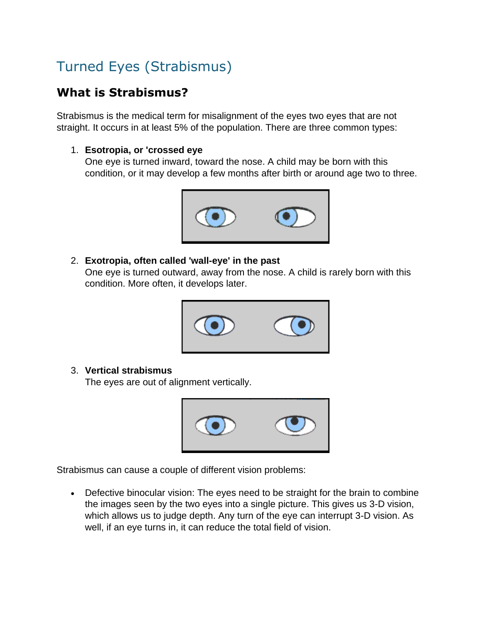# Turned Eyes (Strabismus)

# **What is Strabismus?**

Strabismus is the medical term for misalignment of the eyes two eyes that are not straight. It occurs in at least 5% of the population. There are three common types:

### 1. **Esotropia, or 'crossed eye**

One eye is turned inward, toward the nose. A child may be born with this condition, or it may develop a few months after birth or around age two to three.



#### 2. **Exotropia, often called 'wall-eye' in the past**

One eye is turned outward, away from the nose. A child is rarely born with this condition. More often, it develops later.



#### 3. **Vertical strabismus**

The eyes are out of alignment vertically.



Strabismus can cause a couple of different vision problems:

 Defective binocular vision: The eyes need to be straight for the brain to combine the images seen by the two eyes into a single picture. This gives us 3-D vision, which allows us to judge depth. Any turn of the eye can interrupt 3-D vision. As well, if an eye turns in, it can reduce the total field of vision.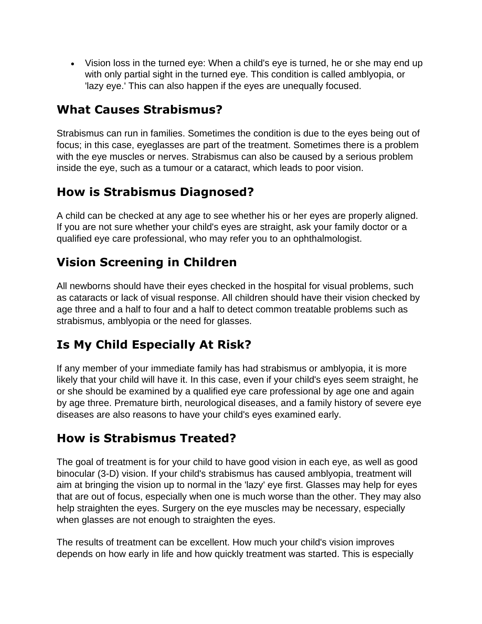Vision loss in the turned eye: When a child's eye is turned, he or she may end up with only partial sight in the turned eye. This condition is called amblyopia, or 'lazy eye.' This can also happen if the eyes are unequally focused.

### **What Causes Strabismus?**

Strabismus can run in families. Sometimes the condition is due to the eyes being out of focus; in this case, eyeglasses are part of the treatment. Sometimes there is a problem with the eye muscles or nerves. Strabismus can also be caused by a serious problem inside the eye, such as a tumour or a cataract, which leads to poor vision.

### **How is Strabismus Diagnosed?**

A child can be checked at any age to see whether his or her eyes are properly aligned. If you are not sure whether your child's eyes are straight, ask your family doctor or a qualified eye care professional, who may refer you to an ophthalmologist.

# **Vision Screening in Children**

All newborns should have their eyes checked in the hospital for visual problems, such as cataracts or lack of visual response. All children should have their vision checked by age three and a half to four and a half to detect common treatable problems such as strabismus, amblyopia or the need for glasses.

# **Is My Child Especially At Risk?**

If any member of your immediate family has had strabismus or amblyopia, it is more likely that your child will have it. In this case, even if your child's eyes seem straight, he or she should be examined by a qualified eye care professional by age one and again by age three. Premature birth, neurological diseases, and a family history of severe eye diseases are also reasons to have your child's eyes examined early.

# **How is Strabismus Treated?**

The goal of treatment is for your child to have good vision in each eye, as well as good binocular (3-D) vision. If your child's strabismus has caused amblyopia, treatment will aim at bringing the vision up to normal in the 'lazy' eye first. Glasses may help for eyes that are out of focus, especially when one is much worse than the other. They may also help straighten the eyes. Surgery on the eye muscles may be necessary, especially when glasses are not enough to straighten the eyes.

The results of treatment can be excellent. How much your child's vision improves depends on how early in life and how quickly treatment was started. This is especially